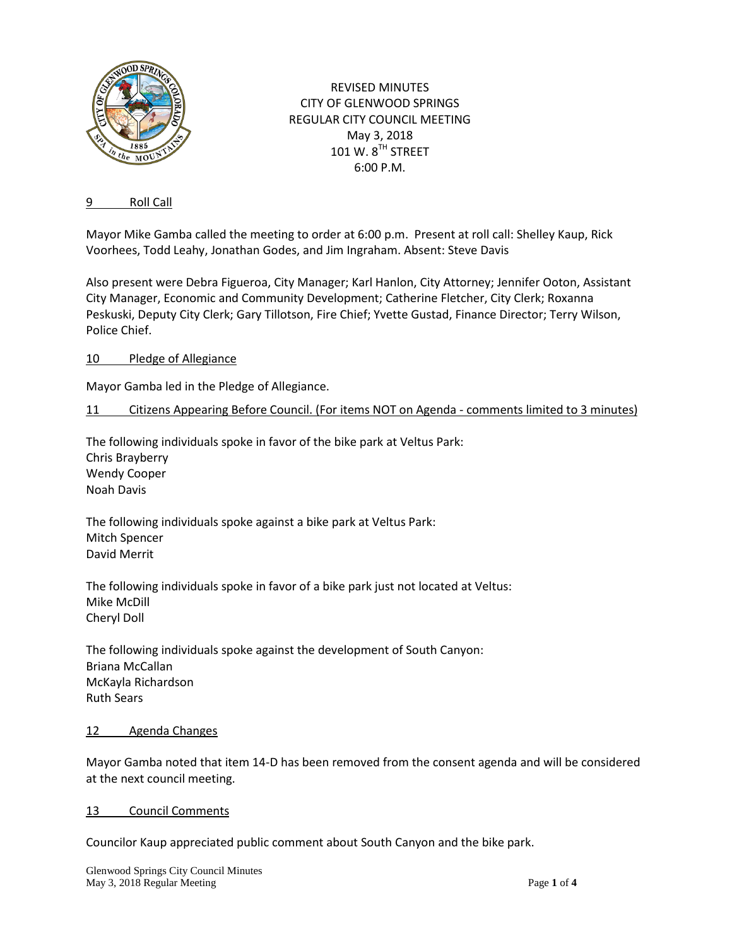

REVISED MINUTES CITY OF GLENWOOD SPRINGS REGULAR CITY COUNCIL MEETING May 3, 2018 101 W. 8TH STREET 6:00 P.M.

### 9 Roll Call

Mayor Mike Gamba called the meeting to order at 6:00 p.m. Present at roll call: Shelley Kaup, Rick Voorhees, Todd Leahy, Jonathan Godes, and Jim Ingraham. Absent: Steve Davis

Also present were Debra Figueroa, City Manager; Karl Hanlon, City Attorney; Jennifer Ooton, Assistant City Manager, Economic and Community Development; Catherine Fletcher, City Clerk; Roxanna Peskuski, Deputy City Clerk; Gary Tillotson, Fire Chief; Yvette Gustad, Finance Director; Terry Wilson, Police Chief.

### 10 Pledge of Allegiance

Mayor Gamba led in the Pledge of Allegiance.

### 11 Citizens Appearing Before Council. (For items NOT on Agenda - comments limited to 3 minutes)

The following individuals spoke in favor of the bike park at Veltus Park: Chris Brayberry Wendy Cooper Noah Davis

The following individuals spoke against a bike park at Veltus Park: Mitch Spencer David Merrit

The following individuals spoke in favor of a bike park just not located at Veltus: Mike McDill Cheryl Doll

The following individuals spoke against the development of South Canyon: Briana McCallan McKayla Richardson Ruth Sears

#### 12 Agenda Changes

Mayor Gamba noted that item 14-D has been removed from the consent agenda and will be considered at the next council meeting.

13 Council Comments

Councilor Kaup appreciated public comment about South Canyon and the bike park.

Glenwood Springs City Council Minutes May 3, 2018 Regular Meeting **Page 1** of 4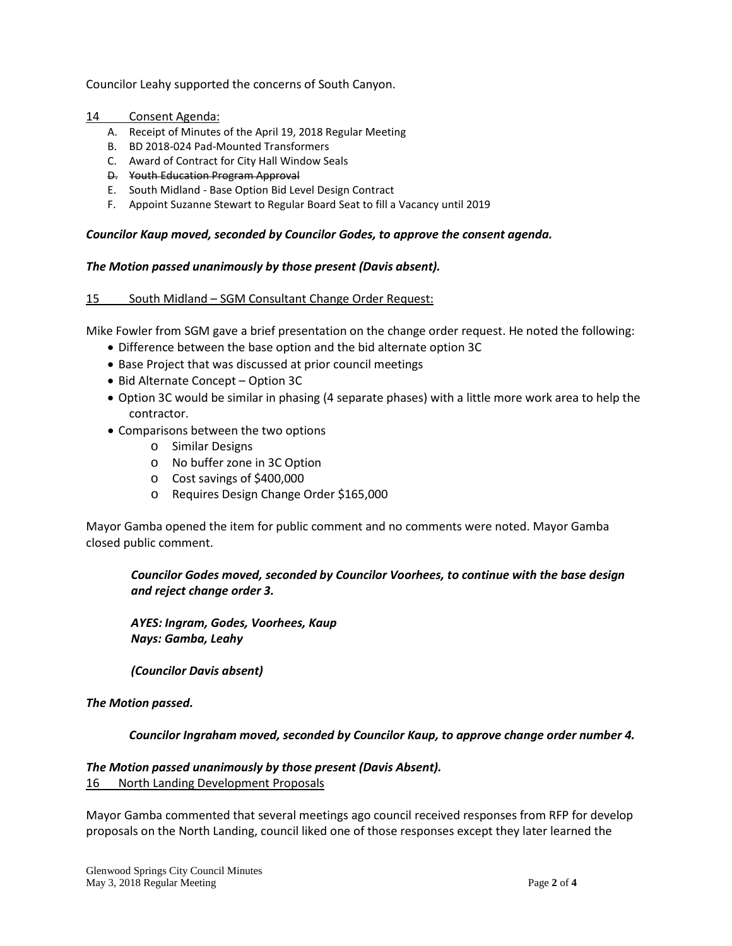Councilor Leahy supported the concerns of South Canyon.

### 14 Consent Agenda:

- A. Receipt of Minutes of the April 19, 2018 Regular Meeting
- B. BD 2018-024 Pad-Mounted Transformers
- C. Award of Contract for City Hall Window Seals
- D. Youth Education Program Approval
- E. South Midland Base Option Bid Level Design Contract
- F. Appoint Suzanne Stewart to Regular Board Seat to fill a Vacancy until 2019

#### *Councilor Kaup moved, seconded by Councilor Godes, to approve the consent agenda.*

### *The Motion passed unanimously by those present (Davis absent).*

### 15 South Midland – SGM Consultant Change Order Request:

Mike Fowler from SGM gave a brief presentation on the change order request. He noted the following:

- Difference between the base option and the bid alternate option 3C
- Base Project that was discussed at prior council meetings
- Bid Alternate Concept Option 3C
- Option 3C would be similar in phasing (4 separate phases) with a little more work area to help the contractor.
- Comparisons between the two options
	- o Similar Designs
	- o No buffer zone in 3C Option
	- o Cost savings of \$400,000
	- o Requires Design Change Order \$165,000

Mayor Gamba opened the item for public comment and no comments were noted. Mayor Gamba closed public comment.

*Councilor Godes moved, seconded by Councilor Voorhees, to continue with the base design and reject change order 3.*

*AYES: Ingram, Godes, Voorhees, Kaup Nays: Gamba, Leahy*

*(Councilor Davis absent)*

#### *The Motion passed.*

#### *Councilor Ingraham moved, seconded by Councilor Kaup, to approve change order number 4.*

#### *The Motion passed unanimously by those present (Davis Absent).*

16 North Landing Development Proposals

Mayor Gamba commented that several meetings ago council received responses from RFP for develop proposals on the North Landing, council liked one of those responses except they later learned the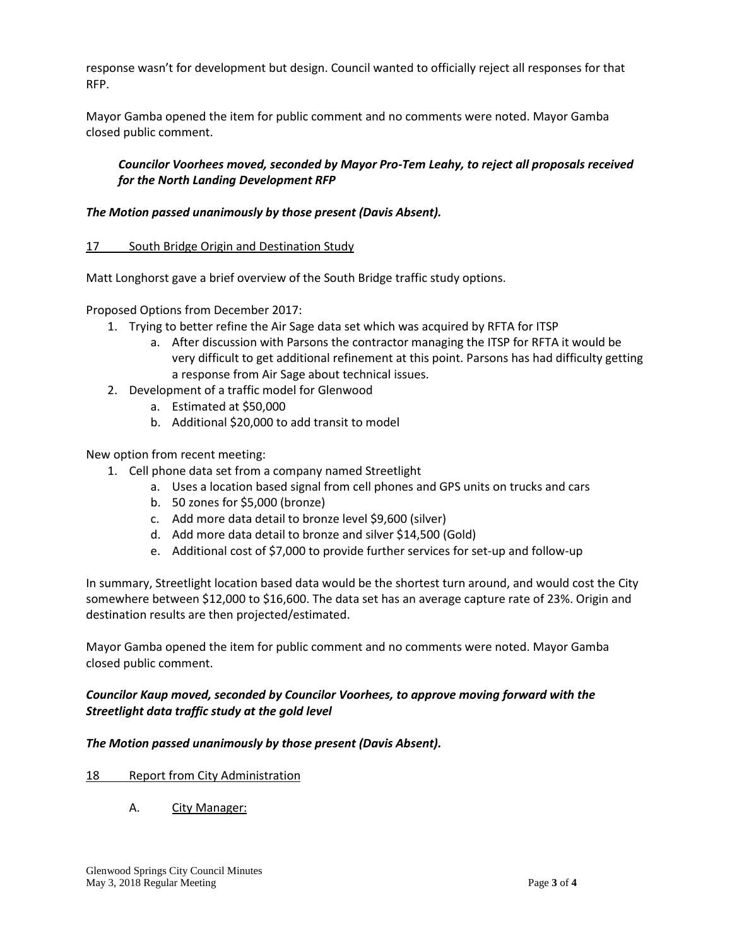response wasn't for development but design. Council wanted to officially reject all responses for that RFP.

Mayor Gamba opened the item for public comment and no comments were noted. Mayor Gamba closed public comment.

## *Councilor Voorhees moved, seconded by Mayor Pro-Tem Leahy, to reject all proposals received for the North Landing Development RFP*

## *The Motion passed unanimously by those present (Davis Absent).*

### 17 South Bridge Origin and Destination Study

Matt Longhorst gave a brief overview of the South Bridge traffic study options.

Proposed Options from December 2017:

- 1. Trying to better refine the Air Sage data set which was acquired by RFTA for ITSP
	- a. After discussion with Parsons the contractor managing the ITSP for RFTA it would be very difficult to get additional refinement at this point. Parsons has had difficulty getting a response from Air Sage about technical issues.
- 2. Development of a traffic model for Glenwood
	- a. Estimated at \$50,000
	- b. Additional \$20,000 to add transit to model

### New option from recent meeting:

- 1. Cell phone data set from a company named Streetlight
	- a. Uses a location based signal from cell phones and GPS units on trucks and cars
	- b. 50 zones for \$5,000 (bronze)
	- c. Add more data detail to bronze level \$9,600 (silver)
	- d. Add more data detail to bronze and silver \$14,500 (Gold)
	- e. Additional cost of \$7,000 to provide further services for set-up and follow-up

In summary, Streetlight location based data would be the shortest turn around, and would cost the City somewhere between \$12,000 to \$16,600. The data set has an average capture rate of 23%. Origin and destination results are then projected/estimated.

Mayor Gamba opened the item for public comment and no comments were noted. Mayor Gamba closed public comment.

### *Councilor Kaup moved, seconded by Councilor Voorhees, to approve moving forward with the Streetlight data traffic study at the gold level*

### *The Motion passed unanimously by those present (Davis Absent).*

### 18 Report from City Administration

A. City Manager: